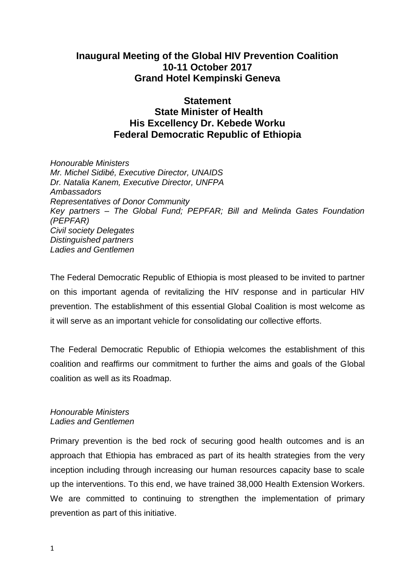# **Inaugural Meeting of the Global HIV Prevention Coalition 10-11 October 2017 Grand Hotel Kempinski Geneva**

## **Statement State Minister of Health His Excellency Dr. Kebede Worku Federal Democratic Republic of Ethiopia**

*Honourable Ministers Mr. Michel Sidibé, Executive Director, UNAIDS Dr. Natalia Kanem, Executive Director, UNFPA Ambassadors Representatives of Donor Community Key partners – The Global Fund; PEPFAR; Bill and Melinda Gates Foundation (PEPFAR) Civil society Delegates Distinguished partners Ladies and Gentlemen* 

The Federal Democratic Republic of Ethiopia is most pleased to be invited to partner on this important agenda of revitalizing the HIV response and in particular HIV prevention. The establishment of this essential Global Coalition is most welcome as it will serve as an important vehicle for consolidating our collective efforts.

The Federal Democratic Republic of Ethiopia welcomes the establishment of this coalition and reaffirms our commitment to further the aims and goals of the Global coalition as well as its Roadmap.

### *Honourable Ministers Ladies and Gentlemen*

Primary prevention is the bed rock of securing good health outcomes and is an approach that Ethiopia has embraced as part of its health strategies from the very inception including through increasing our human resources capacity base to scale up the interventions. To this end, we have trained 38,000 Health Extension Workers. We are committed to continuing to strengthen the implementation of primary prevention as part of this initiative.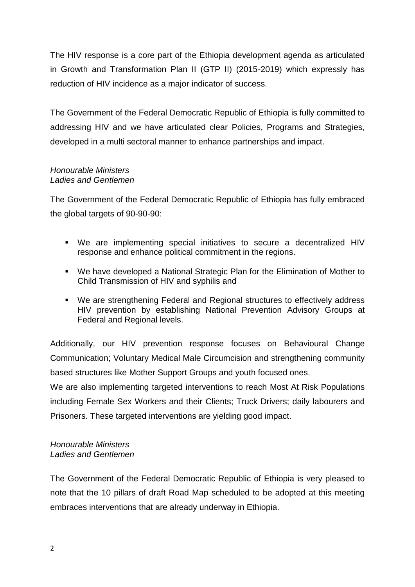The HIV response is a core part of the Ethiopia development agenda as articulated in Growth and Transformation Plan II (GTP II) (2015-2019) which expressly has reduction of HIV incidence as a major indicator of success.

The Government of the Federal Democratic Republic of Ethiopia is fully committed to addressing HIV and we have articulated clear Policies, Programs and Strategies, developed in a multi sectoral manner to enhance partnerships and impact.

#### *Honourable Ministers Ladies and Gentlemen*

The Government of the Federal Democratic Republic of Ethiopia has fully embraced the global targets of 90-90-90:

- We are implementing special initiatives to secure a decentralized HIV response and enhance political commitment in the regions.
- We have developed a National Strategic Plan for the Elimination of Mother to Child Transmission of HIV and syphilis and
- We are strengthening Federal and Regional structures to effectively address HIV prevention by establishing National Prevention Advisory Groups at Federal and Regional levels.

Additionally, our HIV prevention response focuses on Behavioural Change Communication; Voluntary Medical Male Circumcision and strengthening community based structures like Mother Support Groups and youth focused ones.

We are also implementing targeted interventions to reach Most At Risk Populations including Female Sex Workers and their Clients; Truck Drivers; daily labourers and Prisoners. These targeted interventions are yielding good impact.

### *Honourable Ministers Ladies and Gentlemen*

The Government of the Federal Democratic Republic of Ethiopia is very pleased to note that the 10 pillars of draft Road Map scheduled to be adopted at this meeting embraces interventions that are already underway in Ethiopia.